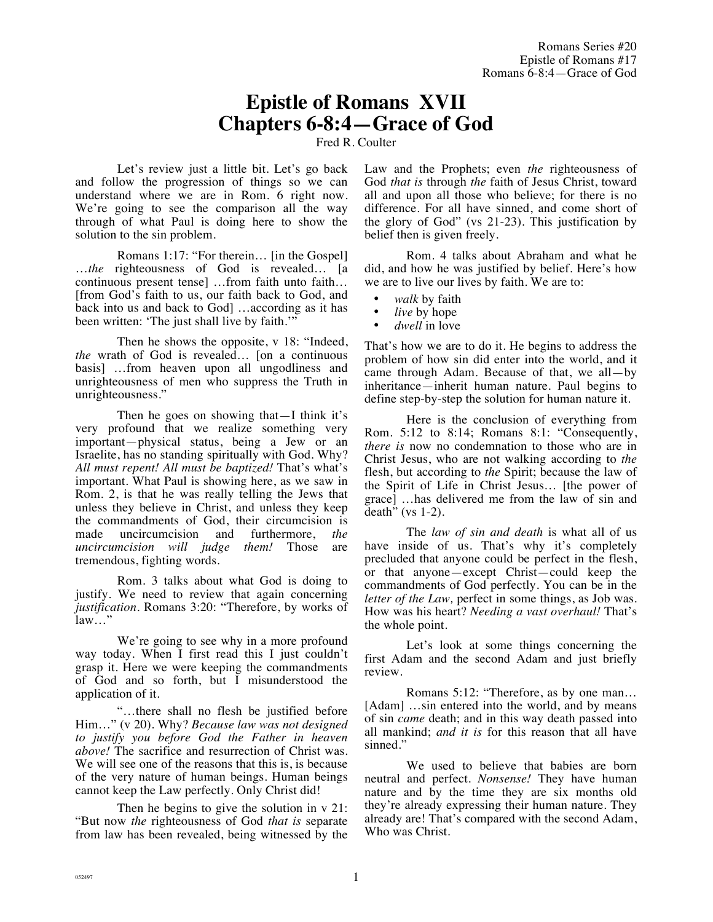# **Epistle of Romans XVII Chapters 6-8:4—Grace of God**

Fred R. Coulter

Let's review just a little bit. Let's go back and follow the progression of things so we can understand where we are in Rom. 6 right now. We're going to see the comparison all the way through of what Paul is doing here to show the solution to the sin problem.

Romans 1:17: "For therein… [in the Gospel] …*the* righteousness of God is revealed… [a continuous present tense] …from faith unto faith… [from God's faith to us, our faith back to God, and back into us and back to God] …according as it has been written: 'The just shall live by faith.'"

Then he shows the opposite, v 18: "Indeed, *the* wrath of God is revealed… [on a continuous basis] …from heaven upon all ungodliness and unrighteousness of men who suppress the Truth in unrighteousness."

Then he goes on showing that—I think it's very profound that we realize something very important—physical status, being a Jew or an Israelite, has no standing spiritually with God. Why? *All must repent! All must be baptized!* That's what's important. What Paul is showing here, as we saw in Rom. 2, is that he was really telling the Jews that unless they believe in Christ, and unless they keep the commandments of God, their circumcision is made uncircumcision and furthermore, *the uncircumcision will judge them!* Those are tremendous, fighting words.

Rom. 3 talks about what God is doing to justify. We need to review that again concerning *justification.* Romans 3:20: "Therefore, by works of law…"

We're going to see why in a more profound way today. When I first read this I just couldn't grasp it. Here we were keeping the commandments of God and so forth, but I misunderstood the application of it.

"…there shall no flesh be justified before Him…" (v 20). Why? *Because law was not designed to justify you before God the Father in heaven above!* The sacrifice and resurrection of Christ was. We will see one of the reasons that this is, is because of the very nature of human beings. Human beings cannot keep the Law perfectly. Only Christ did!

Then he begins to give the solution in  $v$  21: "But now *the* righteousness of God *that is* separate from law has been revealed, being witnessed by the Law and the Prophets; even *the* righteousness of God *that is* through *the* faith of Jesus Christ, toward all and upon all those who believe; for there is no difference. For all have sinned, and come short of the glory of God" (vs 21-23). This justification by belief then is given freely.

Rom. 4 talks about Abraham and what he did, and how he was justified by belief. Here's how we are to live our lives by faith. We are to:

- *walk* by faith
- *live* by hope
- *dwell* in love

That's how we are to do it. He begins to address the problem of how sin did enter into the world, and it came through Adam. Because of that, we all—by inheritance—inherit human nature. Paul begins to define step-by-step the solution for human nature it.

Here is the conclusion of everything from Rom. 5:12 to 8:14; Romans 8:1: "Consequently, *there is* now no condemnation to those who are in Christ Jesus, who are not walking according to *the* flesh, but according to *the* Spirit; because the law of the Spirit of Life in Christ Jesus… [the power of grace] …has delivered me from the law of sin and death" (vs  $1-2$ ).

The *law of sin and death* is what all of us have inside of us. That's why it's completely precluded that anyone could be perfect in the flesh, or that anyone—except Christ—could keep the commandments of God perfectly. You can be in the *letter of the Law,* perfect in some things, as Job was. How was his heart? *Needing a vast overhaul!* That's the whole point.

Let's look at some things concerning the first Adam and the second Adam and just briefly review.

Romans 5:12: "Therefore, as by one man… [Adam] ...sin entered into the world, and by means of sin *came* death; and in this way death passed into all mankind; *and it is* for this reason that all have sinned."

We used to believe that babies are born neutral and perfect. *Nonsense!* They have human nature and by the time they are six months old they're already expressing their human nature. They already are! That's compared with the second Adam, Who was Christ.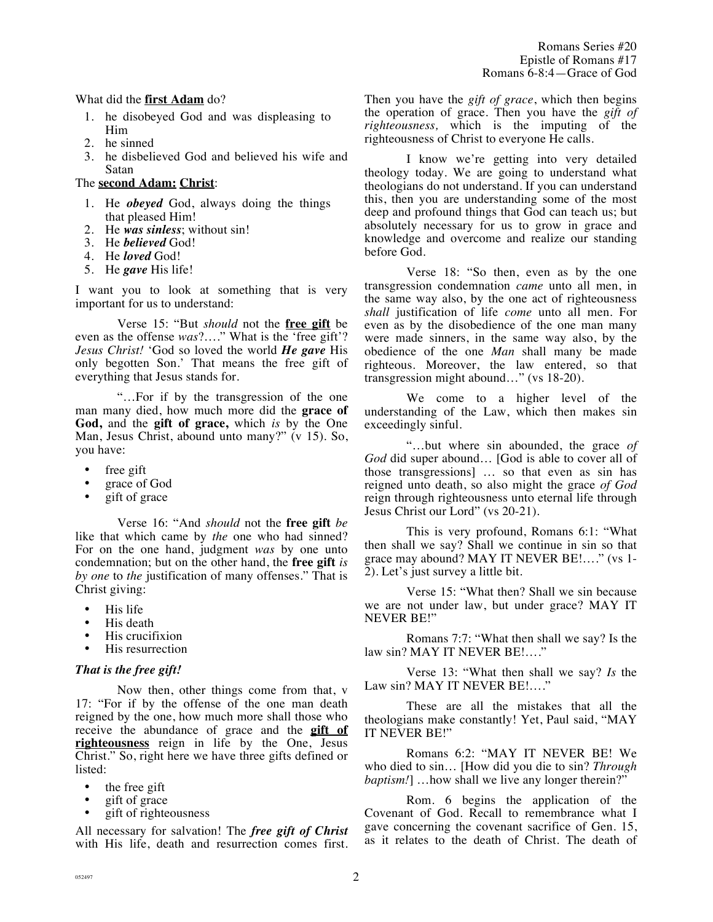# What did the **first Adam** do?

- 1. he disobeyed God and was displeasing to Him
- 2. he sinned
- 3. he disbelieved God and believed his wife and Satan

# The **second Adam: Christ**:

- 1. He *obeyed* God, always doing the things that pleased Him!
- 2. He *was sinless*; without sin!
- 3. He *believed* God!
- 4. He *loved* God!
- 5. He *gave* His life!

I want you to look at something that is very important for us to understand:

Verse 15: "But *should* not the **free gift** be even as the offense *was*?…." What is the 'free gift'? *Jesus Christ!* 'God so loved the world *He gave* His only begotten Son.' That means the free gift of everything that Jesus stands for.

"…For if by the transgression of the one man many died, how much more did the **grace of God,** and the **gift of grace,** which *is* by the One Man, Jesus Christ, abound unto many?" (v 15). So, you have:

- free gift
- grace of God
- gift of grace

Verse 16: "And *should* not the **free gift** *be* like that which came by *the* one who had sinned? For on the one hand, judgment *was* by one unto condemnation; but on the other hand, the **free gift** *is by one* to *the* justification of many offenses." That is Christ giving:

- His life
- His death
- His crucifixion
- His resurrection

## *That is the free gift!*

Now then, other things come from that, v 17: "For if by the offense of the one man death reigned by the one, how much more shall those who receive the abundance of grace and the **gift of righteousness** reign in life by the One, Jesus Christ." So, right here we have three gifts defined or listed:

- the free gift
- gift of grace
- gift of righteousness

All necessary for salvation! The *free gift of Christ* with His life, death and resurrection comes first. Then you have the *gift of grace*, which then begins the operation of grace. Then you have the *gift of righteousness,* which is the imputing of the righteousness of Christ to everyone He calls.

I know we're getting into very detailed theology today. We are going to understand what theologians do not understand. If you can understand this, then you are understanding some of the most deep and profound things that God can teach us; but absolutely necessary for us to grow in grace and knowledge and overcome and realize our standing before God.

Verse 18: "So then, even as by the one transgression condemnation *came* unto all men, in the same way also, by the one act of righteousness *shall* justification of life *come* unto all men. For even as by the disobedience of the one man many were made sinners, in the same way also, by the obedience of the one *Man* shall many be made righteous. Moreover, the law entered, so that transgression might abound…" (vs 18-20).

We come to a higher level of the understanding of the Law, which then makes sin exceedingly sinful.

"…but where sin abounded, the grace *of God* did super abound… [God is able to cover all of those transgressions] … so that even as sin has reigned unto death, so also might the grace *of God* reign through righteousness unto eternal life through Jesus Christ our Lord" (vs 20-21).

This is very profound, Romans 6:1: "What then shall we say? Shall we continue in sin so that grace may abound? MAY IT NEVER BE!…." (vs 1- 2). Let's just survey a little bit.

Verse 15: "What then? Shall we sin because we are not under law, but under grace? MAY IT NEVER BE!"

Romans 7:7: "What then shall we say? Is the law sin? MAY IT NEVER BE!…."

Verse 13: "What then shall we say? *Is* the Law sin? MAY IT NEVER BE!...."

These are all the mistakes that all the theologians make constantly! Yet, Paul said, "MAY IT NEVER BE!"

Romans 6:2: "MAY IT NEVER BE! We who died to sin… [How did you die to sin? *Through baptism!*] ...how shall we live any longer therein?"

Rom. 6 begins the application of the Covenant of God. Recall to remembrance what I gave concerning the covenant sacrifice of Gen. 15, as it relates to the death of Christ. The death of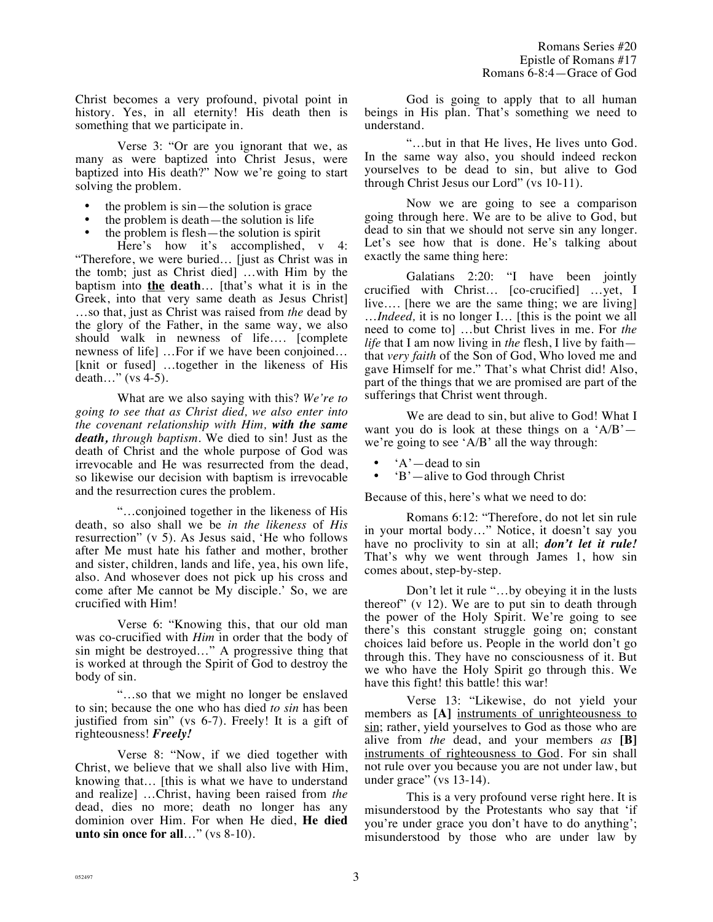Christ becomes a very profound, pivotal point in history. Yes, in all eternity! His death then is something that we participate in.

Verse 3: "Or are you ignorant that we, as many as were baptized into Christ Jesus, were baptized into His death?" Now we're going to start solving the problem.

- the problem is  $sin$ —the solution is grace
- the problem is death—the solution is life
- the problem is flesh—the solution is spirit

Here's how it's accomplished, v 4: "Therefore, we were buried… [just as Christ was in the tomb; just as Christ died] …with Him by the baptism into **the death**… [that's what it is in the Greek, into that very same death as Jesus Christ] …so that, just as Christ was raised from *the* dead by the glory of the Father, in the same way, we also should walk in newness of life…. [complete newness of life] …For if we have been conjoined… [knit or fused] …together in the likeness of His death…" (vs 4-5).

What are we also saying with this? *We're to going to see that as Christ died, we also enter into the covenant relationship with Him, with the same death, through baptism.* We died to sin! Just as the death of Christ and the whole purpose of God was irrevocable and He was resurrected from the dead, so likewise our decision with baptism is irrevocable and the resurrection cures the problem.

"…conjoined together in the likeness of His death, so also shall we be *in the likeness* of *His* resurrection" (v 5). As Jesus said, 'He who follows after Me must hate his father and mother, brother and sister, children, lands and life, yea, his own life, also. And whosever does not pick up his cross and come after Me cannot be My disciple.' So, we are crucified with Him!

Verse 6: "Knowing this, that our old man was co-crucified with *Him* in order that the body of sin might be destroyed…" A progressive thing that is worked at through the Spirit of God to destroy the body of sin.

"…so that we might no longer be enslaved to sin; because the one who has died *to sin* has been justified from sin" (vs 6-7). Freely! It is a gift of righteousness! *Freely!*

Verse 8: "Now, if we died together with Christ, we believe that we shall also live with Him, knowing that… [this is what we have to understand and realize] …Christ, having been raised from *the* dead, dies no more; death no longer has any dominion over Him. For when He died, **He died unto sin once for all**…" (vs 8-10).

God is going to apply that to all human beings in His plan. That's something we need to understand.

"…but in that He lives, He lives unto God. In the same way also, you should indeed reckon yourselves to be dead to sin, but alive to God through Christ Jesus our Lord" (vs 10-11).

Now we are going to see a comparison going through here. We are to be alive to God, but dead to sin that we should not serve sin any longer. Let's see how that is done. He's talking about exactly the same thing here:

Galatians 2:20: "I have been jointly crucified with Christ… [co-crucified] …yet, I live…. [here we are the same thing; we are living] …*Indeed,* it is no longer I… [this is the point we all need to come to] …but Christ lives in me. For *the life* that I am now living in *the* flesh, I live by faith that *very faith* of the Son of God, Who loved me and gave Himself for me." That's what Christ did! Also, part of the things that we are promised are part of the sufferings that Christ went through.

We are dead to sin, but alive to God! What I want you do is look at these things on a  $A/B'$  we're going to see 'A/B' all the way through:

- $A'$ —dead to sin
- 'B'—alive to God through Christ

Because of this, here's what we need to do:

Romans 6:12: "Therefore, do not let sin rule in your mortal body…" Notice, it doesn't say you have no proclivity to sin at all; *don't let it rule!*  That's why we went through James 1, how sin comes about, step-by-step.

Don't let it rule "…by obeying it in the lusts thereof" (v 12). We are to put sin to death through the power of the Holy Spirit. We're going to see there's this constant struggle going on; constant choices laid before us. People in the world don't go through this. They have no consciousness of it. But we who have the Holy Spirit go through this. We have this fight! this battle! this war!

Verse 13: "Likewise, do not yield your members as [A] instruments of unrighteousness to sin; rather, yield yourselves to God as those who are alive from *the* dead, and your members *as* **[B]** instruments of righteousness to God. For sin shall not rule over you because you are not under law, but under grace" (vs 13-14).

This is a very profound verse right here. It is misunderstood by the Protestants who say that 'if you're under grace you don't have to do anything'; misunderstood by those who are under law by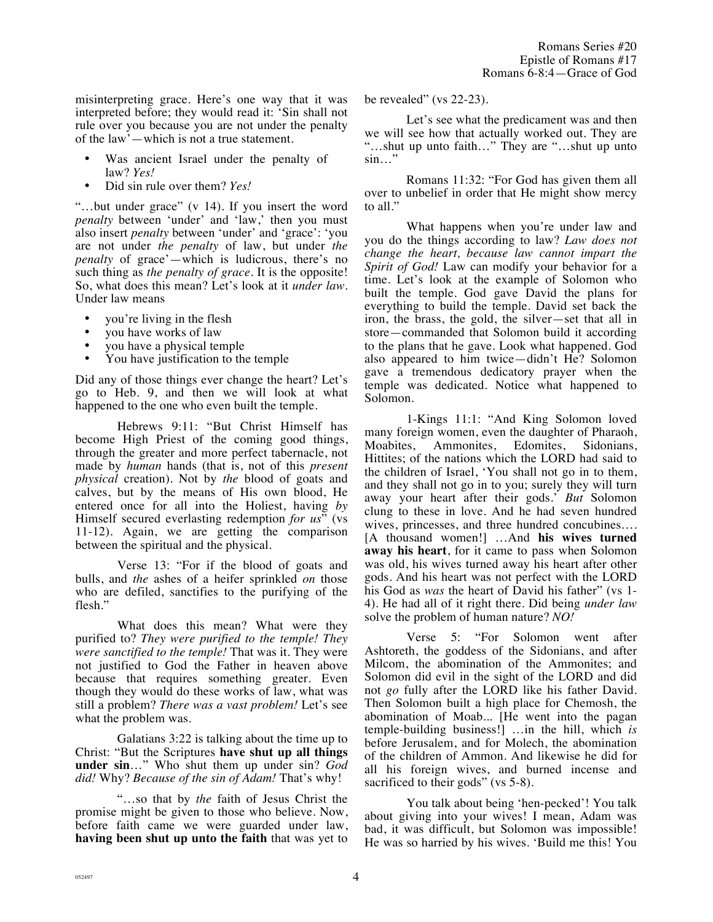misinterpreting grace. Here's one way that it was interpreted before; they would read it: 'Sin shall not rule over you because you are not under the penalty of the law'—which is not a true statement.

- Was ancient Israel under the penalty of law? *Yes!*
- Did sin rule over them? *Yes!*

"…but under grace" (v 14). If you insert the word *penalty* between 'under' and 'law,' then you must also insert *penalty* between 'under' and 'grace': 'you are not under *the penalty* of law, but under *the penalty* of grace'—which is ludicrous, there's no such thing as *the penalty of grace.* It is the opposite! So, what does this mean? Let's look at it *under law.* Under law means

- you're living in the flesh
- you have works of law
- you have a physical temple
- You have justification to the temple

Did any of those things ever change the heart? Let's go to Heb. 9, and then we will look at what happened to the one who even built the temple.

Hebrews 9:11: "But Christ Himself has become High Priest of the coming good things, through the greater and more perfect tabernacle, not made by *human* hands (that is, not of this *present physical* creation). Not by *the* blood of goats and calves, but by the means of His own blood, He entered once for all into the Holiest, having *by* Himself secured everlasting redemption *for us*" (vs 11-12). Again, we are getting the comparison between the spiritual and the physical.

Verse 13: "For if the blood of goats and bulls, and *the* ashes of a heifer sprinkled *on* those who are defiled, sanctifies to the purifying of the flesh."

What does this mean? What were they purified to? *They were purified to the temple! They were sanctified to the temple!* That was it. They were not justified to God the Father in heaven above because that requires something greater. Even though they would do these works of law, what was still a problem? *There was a vast problem!* Let's see what the problem was.

Galatians 3:22 is talking about the time up to Christ: "But the Scriptures **have shut up all things under sin**…" Who shut them up under sin? *God did!* Why? *Because of the sin of Adam!* That's why!

"…so that by *the* faith of Jesus Christ the promise might be given to those who believe. Now, before faith came we were guarded under law, **having been shut up unto the faith** that was yet to be revealed" (vs 22-23).

Let's see what the predicament was and then we will see how that actually worked out. They are "…shut up unto faith…" They are "…shut up unto sin…"

Romans 11:32: "For God has given them all over to unbelief in order that He might show mercy to all."

What happens when you're under law and you do the things according to law? *Law does not change the heart, because law cannot impart the Spirit of God!* Law can modify your behavior for a time. Let's look at the example of Solomon who built the temple. God gave David the plans for everything to build the temple. David set back the iron, the brass, the gold, the silver—set that all in store—commanded that Solomon build it according to the plans that he gave. Look what happened. God also appeared to him twice—didn't He? Solomon gave a tremendous dedicatory prayer when the temple was dedicated. Notice what happened to Solomon.

1-Kings 11:1: "And King Solomon loved many foreign women, even the daughter of Pharaoh, Moabites, Ammonites, Edomites, Sidonians, Hittites; of the nations which the LORD had said to the children of Israel, 'You shall not go in to them, and they shall not go in to you; surely they will turn away your heart after their gods.' *But* Solomon clung to these in love. And he had seven hundred wives, princesses, and three hundred concubines…. [A thousand women!] …And **his wives turned away his heart**, for it came to pass when Solomon was old, his wives turned away his heart after other gods. And his heart was not perfect with the LORD his God as *was* the heart of David his father" (vs 1- 4). He had all of it right there. Did being *under law* solve the problem of human nature? *NO!*

Verse 5: "For Solomon went after Ashtoreth, the goddess of the Sidonians, and after Milcom, the abomination of the Ammonites; and Solomon did evil in the sight of the LORD and did not *go* fully after the LORD like his father David. Then Solomon built a high place for Chemosh, the abomination of Moab... [He went into the pagan temple-building business!] …in the hill, which *is* before Jerusalem, and for Molech, the abomination of the children of Ammon. And likewise he did for all his foreign wives, and burned incense and sacrificed to their gods" (vs 5-8).

You talk about being 'hen-pecked'! You talk about giving into your wives! I mean, Adam was bad, it was difficult, but Solomon was impossible! He was so harried by his wives. 'Build me this! You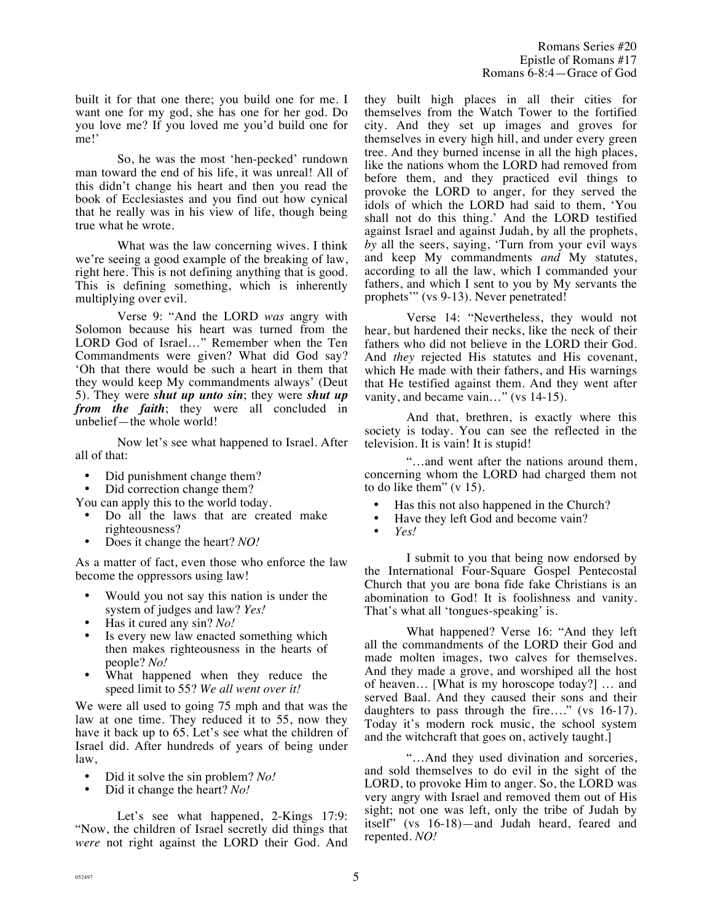built it for that one there; you build one for me. I want one for my god, she has one for her god. Do you love me? If you loved me you'd build one for me!'

So, he was the most 'hen-pecked' rundown man toward the end of his life, it was unreal! All of this didn't change his heart and then you read the book of Ecclesiastes and you find out how cynical that he really was in his view of life, though being true what he wrote.

What was the law concerning wives. I think we're seeing a good example of the breaking of law, right here. This is not defining anything that is good. This is defining something, which is inherently multiplying over evil.

Verse 9: "And the LORD *was* angry with Solomon because his heart was turned from the LORD God of Israel…" Remember when the Ten Commandments were given? What did God say? 'Oh that there would be such a heart in them that they would keep My commandments always' (Deut 5). They were *shut up unto sin*; they were *shut up from the faith*; they were all concluded in unbelief—the whole world!

Now let's see what happened to Israel. After all of that:

- Did punishment change them?
- Did correction change them?

You can apply this to the world today.

- Do all the laws that are created make righteousness?
- Does it change the heart? *NO!*

As a matter of fact, even those who enforce the law become the oppressors using law!

- Would you not say this nation is under the system of judges and law? *Yes!*
- Has it cured any sin? *No!*
- Is every new law enacted something which then makes righteousness in the hearts of people? *No!*
- What happened when they reduce the speed limit to 55? *We all went over it!*

We were all used to going 75 mph and that was the law at one time. They reduced it to 55, now they have it back up to 65. Let's see what the children of Israel did. After hundreds of years of being under law,

- Did it solve the sin problem? *No!*<br>• Did it change the heart? *No!*
- Did it change the heart? *No!*

Let's see what happened, 2-Kings 17:9: "Now, the children of Israel secretly did things that *were* not right against the LORD their God. And they built high places in all their cities for themselves from the Watch Tower to the fortified city. And they set up images and groves for themselves in every high hill, and under every green tree. And they burned incense in all the high places, like the nations whom the LORD had removed from before them, and they practiced evil things to provoke the LORD to anger, for they served the idols of which the LORD had said to them, 'You shall not do this thing.' And the LORD testified against Israel and against Judah, by all the prophets, *by* all the seers, saying, 'Turn from your evil ways and keep My commandments *and* My statutes, according to all the law, which I commanded your fathers, and which I sent to you by My servants the prophets'" (vs 9-13). Never penetrated!

Verse 14: "Nevertheless, they would not hear, but hardened their necks, like the neck of their fathers who did not believe in the LORD their God. And *they* rejected His statutes and His covenant, which He made with their fathers, and His warnings that He testified against them. And they went after vanity, and became vain…" (vs 14-15).

And that, brethren, is exactly where this society is today. You can see the reflected in the television. It is vain! It is stupid!

"…and went after the nations around them, concerning whom the LORD had charged them not to do like them" (v 15).

- Has this not also happened in the Church?<br>• Have they left God and become vain?
- Have they left God and become vain?
- *Yes!*

I submit to you that being now endorsed by the International Four-Square Gospel Pentecostal Church that you are bona fide fake Christians is an abomination to God! It is foolishness and vanity. That's what all 'tongues-speaking' is.

What happened? Verse 16: "And they left all the commandments of the LORD their God and made molten images, two calves for themselves. And they made a grove, and worshiped all the host of heaven… [What is my horoscope today?] … and served Baal. And they caused their sons and their daughters to pass through the fire…." (vs 16-17). Today it's modern rock music, the school system and the witchcraft that goes on, actively taught.]

"…And they used divination and sorceries, and sold themselves to do evil in the sight of the LORD, to provoke Him to anger. So, the LORD was very angry with Israel and removed them out of His sight; not one was left, only the tribe of Judah by itself" (vs 16-18)—and Judah heard, feared and repented. *NO!*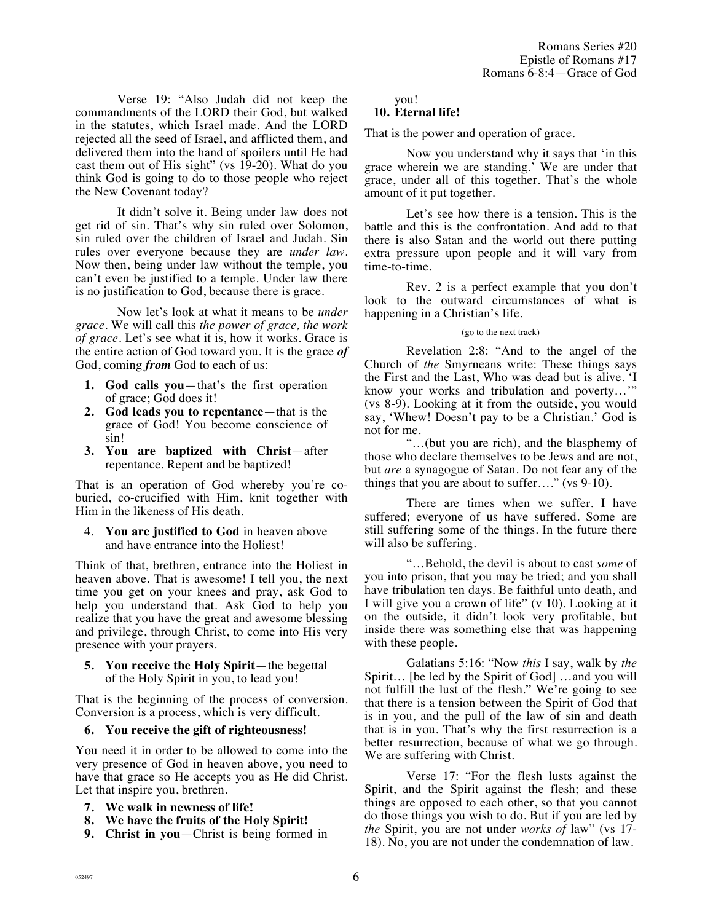Verse 19: "Also Judah did not keep the commandments of the LORD their God, but walked in the statutes, which Israel made. And the LORD rejected all the seed of Israel, and afflicted them, and delivered them into the hand of spoilers until He had cast them out of His sight" (vs 19-20). What do you think God is going to do to those people who reject the New Covenant today?

It didn't solve it. Being under law does not get rid of sin. That's why sin ruled over Solomon, sin ruled over the children of Israel and Judah. Sin rules over everyone because they are *under law*. Now then, being under law without the temple, you can't even be justified to a temple. Under law there is no justification to God, because there is grace.

Now let's look at what it means to be *under grace*. We will call this *the power of grace, the work of grace.* Let's see what it is, how it works. Grace is the entire action of God toward you. It is the grace *of* God, coming *from* God to each of us:

- **1. God calls you**—that's the first operation of grace; God does it!
- **2. God leads you to repentance**—that is the grace of God! You become conscience of sin!
- **3. You are baptized with Christ**—after repentance. Repent and be baptized!

That is an operation of God whereby you're coburied, co-crucified with Him, knit together with Him in the likeness of His death.

4. **You are justified to God** in heaven above and have entrance into the Holiest!

Think of that, brethren, entrance into the Holiest in heaven above. That is awesome! I tell you, the next time you get on your knees and pray, ask God to help you understand that. Ask God to help you realize that you have the great and awesome blessing and privilege, through Christ, to come into His very presence with your prayers.

**5. You receive the Holy Spirit**—the begettal of the Holy Spirit in you, to lead you!

That is the beginning of the process of conversion. Conversion is a process, which is very difficult.

## **6. You receive the gift of righteousness!**

You need it in order to be allowed to come into the very presence of God in heaven above, you need to have that grace so He accepts you as He did Christ. Let that inspire you, brethren.

- **7. We walk in newness of life!**
- **8. We have the fruits of the Holy Spirit!**
- **9. Christ in you**—Christ is being formed in

you!

# **10. Eternal life!**

That is the power and operation of grace.

Now you understand why it says that 'in this grace wherein we are standing.' We are under that grace, under all of this together. That's the whole amount of it put together.

Let's see how there is a tension. This is the battle and this is the confrontation. And add to that there is also Satan and the world out there putting extra pressure upon people and it will vary from time-to-time.

Rev. 2 is a perfect example that you don't look to the outward circumstances of what is happening in a Christian's life.

#### (go to the next track)

Revelation 2:8: "And to the angel of the Church of *the* Smyrneans write: These things says the First and the Last, Who was dead but is alive. 'I know your works and tribulation and poverty…'" (vs 8-9). Looking at it from the outside, you would say, 'Whew! Doesn't pay to be a Christian.' God is not for me.

"…(but you are rich), and the blasphemy of those who declare themselves to be Jews and are not, but *are* a synagogue of Satan. Do not fear any of the things that you are about to suffer…." (vs 9-10).

There are times when we suffer. I have suffered; everyone of us have suffered. Some are still suffering some of the things. In the future there will also be suffering.

"…Behold, the devil is about to cast *some* of you into prison, that you may be tried; and you shall have tribulation ten days. Be faithful unto death, and I will give you a crown of life" (v 10). Looking at it on the outside, it didn't look very profitable, but inside there was something else that was happening with these people.

Galatians 5:16: "Now *this* I say, walk by *the* Spirit… [be led by the Spirit of God] …and you will not fulfill the lust of the flesh." We're going to see that there is a tension between the Spirit of God that is in you, and the pull of the law of sin and death that is in you. That's why the first resurrection is a better resurrection, because of what we go through. We are suffering with Christ.

Verse 17: "For the flesh lusts against the Spirit, and the Spirit against the flesh; and these things are opposed to each other, so that you cannot do those things you wish to do. But if you are led by *the* Spirit, you are not under *works of* law" (vs 17- 18). No, you are not under the condemnation of law.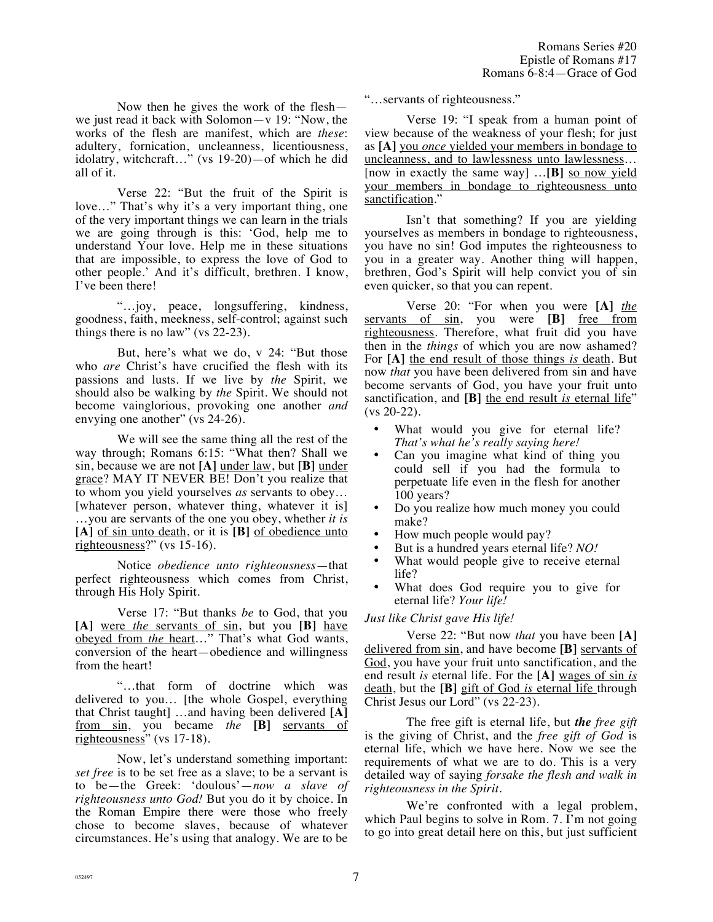Now then he gives the work of the flesh we just read it back with Solomon—v 19: "Now, the works of the flesh are manifest, which are *these*: adultery, fornication, uncleanness, licentiousness, idolatry, witchcraft…" (vs 19-20)—of which he did all of it.

Verse 22: "But the fruit of the Spirit is love…" That's why it's a very important thing, one of the very important things we can learn in the trials we are going through is this: 'God, help me to understand Your love. Help me in these situations that are impossible, to express the love of God to other people.' And it's difficult, brethren. I know, I've been there!

"…joy, peace, longsuffering, kindness, goodness, faith, meekness, self-control; against such things there is no law" (vs 22-23).

But, here's what we do, v 24: "But those who *are* Christ's have crucified the flesh with its passions and lusts. If we live by *the* Spirit, we should also be walking by *the* Spirit. We should not become vainglorious, provoking one another *and* envying one another" (vs 24-26).

We will see the same thing all the rest of the way through; Romans 6:15: "What then? Shall we sin, because we are not **[A]** under law, but **[B]** under grace? MAY IT NEVER BE! Don't you realize that to whom you yield yourselves *as* servants to obey… [whatever person, whatever thing, whatever it is] …you are servants of the one you obey, whether *it is* **[A]** of sin unto death, or it is **[B]** of obedience unto righteousness?" (vs 15-16).

Notice *obedience unto righteousness*—that perfect righteousness which comes from Christ, through His Holy Spirit.

Verse 17: "But thanks *be* to God, that you **[A]** were *the* servants of sin, but you **[B]** have obeyed from *the* heart…" That's what God wants, conversion of the heart—obedience and willingness from the heart!

"…that form of doctrine which was delivered to you… [the whole Gospel, everything that Christ taught] …and having been delivered **[A]** from sin, you became *the* **[B]** servants of righteousness" (vs 17-18).

Now, let's understand something important: *set free* is to be set free as a slave; to be a servant is to be—the Greek: 'doulous'—*now a slave of righteousness unto God!* But you do it by choice. In the Roman Empire there were those who freely chose to become slaves, because of whatever circumstances. He's using that analogy. We are to be "…servants of righteousness."

Verse 19: "I speak from a human point of view because of the weakness of your flesh; for just as **[A]** you *once* yielded your members in bondage to uncleanness, and to lawlessness unto lawlessness… [now in exactly the same way] ...[B] so now yield your members in bondage to righteousness unto sanctification."

Isn't that something? If you are yielding yourselves as members in bondage to righteousness, you have no sin! God imputes the righteousness to you in a greater way. Another thing will happen, brethren, God's Spirit will help convict you of sin even quicker, so that you can repent.

Verse 20: "For when you were **[A]** *the* servants of sin, you were **[B]** free from righteousness. Therefore, what fruit did you have then in the *things* of which you are now ashamed? For **[A]** the end result of those things *is* death. But now *that* you have been delivered from sin and have become servants of God, you have your fruit unto sanctification, and **[B]** the end result *is* eternal life" (vs 20-22).

- What would you give for eternal life? *That's what he's really saying here!*
- Can you imagine what kind of thing you could sell if you had the formula to perpetuate life even in the flesh for another 100 years?
- Do you realize how much money you could make?
- How much people would pay?
- But is a hundred years eternal life? *NO!*
- What would people give to receive eternal life?
- What does God require you to give for eternal life? *Your life!*

## *Just like Christ gave His life!*

Verse 22: "But now *that* you have been **[A]** delivered from sin, and have become **[B]** servants of God, you have your fruit unto sanctification, and the end result *is* eternal life. For the **[A]** wages of sin *is* death, but the **[B]** gift of God *is* eternal life through Christ Jesus our Lord" (vs 22-23).

The free gift is eternal life, but *the free gift* is the giving of Christ, and the *free gift of God* is eternal life, which we have here. Now we see the requirements of what we are to do. This is a very detailed way of saying *forsake the flesh and walk in righteousness in the Spirit.*

We're confronted with a legal problem, which Paul begins to solve in Rom. 7. I'm not going to go into great detail here on this, but just sufficient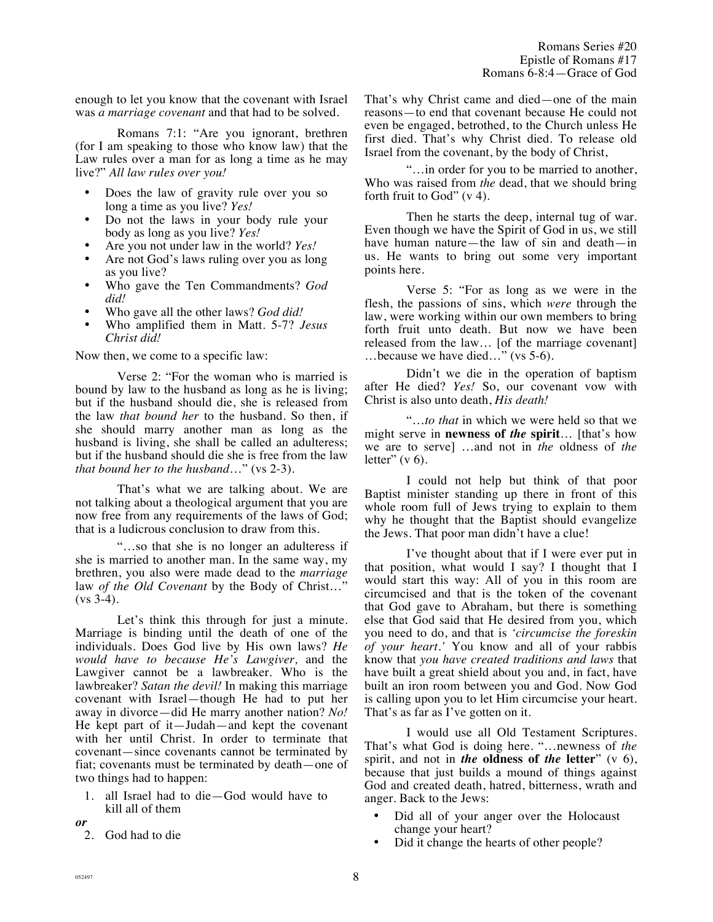enough to let you know that the covenant with Israel was *a marriage covenant* and that had to be solved.

Romans 7:1: "Are you ignorant, brethren (for I am speaking to those who know law) that the Law rules over a man for as long a time as he may live?" *All law rules over you!*

- Does the law of gravity rule over you so long a time as you live? *Yes!*
- Do not the laws in your body rule your body as long as you live? *Yes!*
- Are you not under law in the world? *Yes!*
- Are not God's laws ruling over you as long as you live?
- Who gave the Ten Commandments? *God did!*
- Who gave all the other laws? *God did!*
- Who amplified them in Matt. 5-7? *Jesus Christ did!*

Now then, we come to a specific law:

Verse 2: "For the woman who is married is bound by law to the husband as long as he is living; but if the husband should die, she is released from the law *that bound her* to the husband. So then, if she should marry another man as long as the husband is living, she shall be called an adulteress; but if the husband should die she is free from the law *that bound her to the husband*…" (vs 2-3).

That's what we are talking about. We are not talking about a theological argument that you are now free from any requirements of the laws of God; that is a ludicrous conclusion to draw from this.

"…so that she is no longer an adulteress if she is married to another man. In the same way, my brethren, you also were made dead to the *marriage* law *of the Old Covenant* by the Body of Christ…"  $(vs 3-4)$ .

Let's think this through for just a minute. Marriage is binding until the death of one of the individuals. Does God live by His own laws? *He would have to because He's Lawgiver,* and the Lawgiver cannot be a lawbreaker. Who is the lawbreaker? *Satan the devil!* In making this marriage covenant with Israel—though He had to put her away in divorce—did He marry another nation? *No!* He kept part of it—Judah—and kept the covenant with her until Christ. In order to terminate that covenant—since covenants cannot be terminated by fiat; covenants must be terminated by death—one of two things had to happen:

- 1. all Israel had to die—God would have to kill all of them
- *or*
- 2. God had to die

That's why Christ came and died—one of the main reasons—to end that covenant because He could not even be engaged, betrothed, to the Church unless He first died. That's why Christ died. To release old Israel from the covenant, by the body of Christ,

"…in order for you to be married to another, Who was raised from *the* dead, that we should bring forth fruit to God"  $(v 4)$ .

Then he starts the deep, internal tug of war. Even though we have the Spirit of God in us, we still have human nature—the law of sin and death—in us. He wants to bring out some very important points here.

Verse 5: "For as long as we were in the flesh, the passions of sins, which *were* through the law, were working within our own members to bring forth fruit unto death. But now we have been released from the law… [of the marriage covenant] …because we have died…" (vs 5-6).

Didn't we die in the operation of baptism after He died? *Yes!* So, our covenant vow with Christ is also unto death, *His death!*

"…*to that* in which we were held so that we might serve in **newness of** *the* **spirit**… [that's how we are to serve] …and not in *the* oldness of *the* letter"  $(v 6)$ .

I could not help but think of that poor Baptist minister standing up there in front of this whole room full of Jews trying to explain to them why he thought that the Baptist should evangelize the Jews. That poor man didn't have a clue!

I've thought about that if I were ever put in that position, what would I say? I thought that I would start this way: All of you in this room are circumcised and that is the token of the covenant that God gave to Abraham, but there is something else that God said that He desired from you, which you need to do, and that is *'circumcise the foreskin of your heart.'* You know and all of your rabbis know that *you have created traditions and laws* that have built a great shield about you and, in fact, have built an iron room between you and God. Now God is calling upon you to let Him circumcise your heart. That's as far as I've gotten on it.

I would use all Old Testament Scriptures. That's what God is doing here. "…newness of *the* spirit, and not in *the* **oldness of** *the* **letter**" (v 6), because that just builds a mound of things against God and created death, hatred, bitterness, wrath and anger. Back to the Jews:

- Did all of your anger over the Holocaust change your heart?
- Did it change the hearts of other people?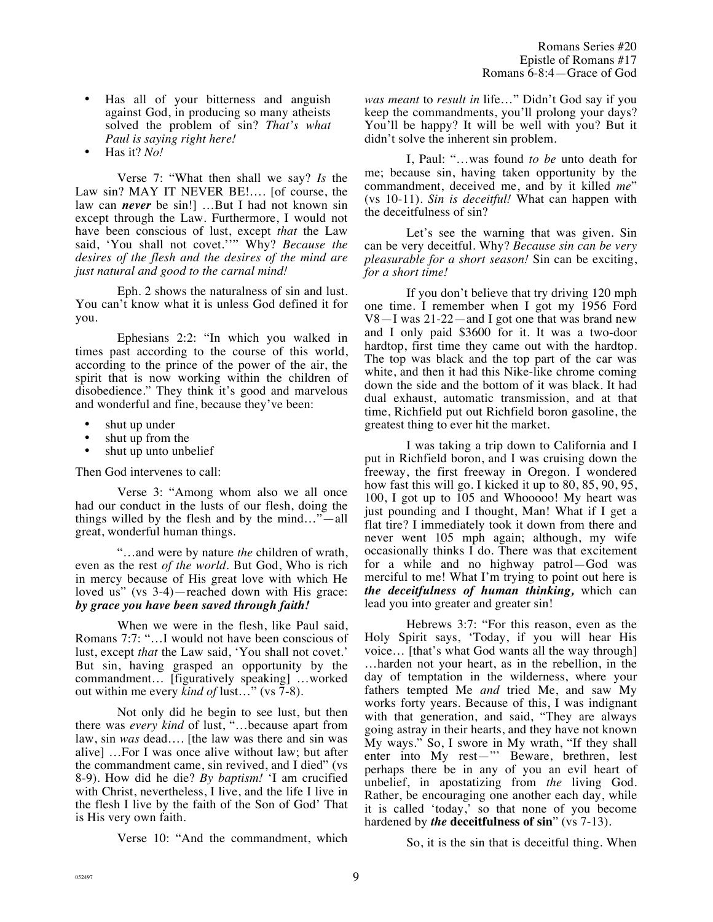- Has all of your bitterness and anguish against God, in producing so many atheists solved the problem of sin? *That's what Paul is saying right here!*
- Has it? *No!*

Verse 7: "What then shall we say? *Is* the Law sin? MAY IT NEVER BE!…. [of course, the law can *never* be sin!] …But I had not known sin except through the Law. Furthermore, I would not have been conscious of lust, except *that* the Law said, 'You shall not covet.''" Why? *Because the desires of the flesh and the desires of the mind are just natural and good to the carnal mind!*

Eph. 2 shows the naturalness of sin and lust. You can't know what it is unless God defined it for you.

Ephesians 2:2: "In which you walked in times past according to the course of this world, according to the prince of the power of the air, the spirit that is now working within the children of disobedience." They think it's good and marvelous and wonderful and fine, because they've been:

- shut up under
- shut up from the
- shut up unto unbelief

Then God intervenes to call:

Verse 3: "Among whom also we all once had our conduct in the lusts of our flesh, doing the things willed by the flesh and by the mind…"—all great, wonderful human things.

"…and were by nature *the* children of wrath, even as the rest *of the world*. But God, Who is rich in mercy because of His great love with which He loved us" (vs 3-4)—reached down with His grace: *by grace you have been saved through faith!* 

When we were in the flesh, like Paul said, Romans 7:7: "…I would not have been conscious of lust, except *that* the Law said, 'You shall not covet.' But sin, having grasped an opportunity by the commandment… [figuratively speaking] …worked out within me every *kind of* lust…" (vs 7-8).

Not only did he begin to see lust, but then there was *every kind* of lust, "…because apart from law, sin *was* dead…. [the law was there and sin was alive] …For I was once alive without law; but after the commandment came, sin revived, and I died" (vs 8-9). How did he die? *By baptism!* 'I am crucified with Christ, nevertheless, I live, and the life I live in the flesh I live by the faith of the Son of God' That is His very own faith.

Verse 10: "And the commandment, which

*was meant* to *result in* life…" Didn't God say if you keep the commandments, you'll prolong your days? You'll be happy? It will be well with you? But it didn't solve the inherent sin problem.

I, Paul: "…was found *to be* unto death for me; because sin, having taken opportunity by the commandment, deceived me, and by it killed *me*" (vs 10-11). *Sin is deceitful!* What can happen with the deceitfulness of sin?

Let's see the warning that was given. Sin can be very deceitful. Why? *Because sin can be very pleasurable for a short season!* Sin can be exciting, *for a short time!*

If you don't believe that try driving 120 mph one time. I remember when I got my 1956 Ford V8—I was 21-22—and I got one that was brand new and I only paid \$3600 for it. It was a two-door hardtop, first time they came out with the hardtop. The top was black and the top part of the car was white, and then it had this Nike-like chrome coming down the side and the bottom of it was black. It had dual exhaust, automatic transmission, and at that time, Richfield put out Richfield boron gasoline, the greatest thing to ever hit the market.

I was taking a trip down to California and I put in Richfield boron, and I was cruising down the freeway, the first freeway in Oregon. I wondered how fast this will go. I kicked it up to 80, 85, 90, 95, 100, I got up to 105 and Whooooo! My heart was just pounding and I thought, Man! What if I get a flat tire? I immediately took it down from there and never went 105 mph again; although, my wife occasionally thinks I do. There was that excitement for a while and no highway patrol—God was merciful to me! What I'm trying to point out here is *the deceitfulness of human thinking,* which can lead you into greater and greater sin!

Hebrews 3:7: "For this reason, even as the Holy Spirit says, 'Today, if you will hear His voice… [that's what God wants all the way through] …harden not your heart, as in the rebellion, in the day of temptation in the wilderness, where your fathers tempted Me *and* tried Me, and saw My works forty years. Because of this, I was indignant with that generation, and said, "They are always going astray in their hearts, and they have not known My ways." So, I swore in My wrath, "If they shall enter into My rest—"' Beware, brethren, lest perhaps there be in any of you an evil heart of unbelief, in apostatizing from *the* living God. Rather, be encouraging one another each day, while it is called 'today,' so that none of you become hardened by *the* **deceitfulness of sin**" (vs 7-13).

So, it is the sin that is deceitful thing. When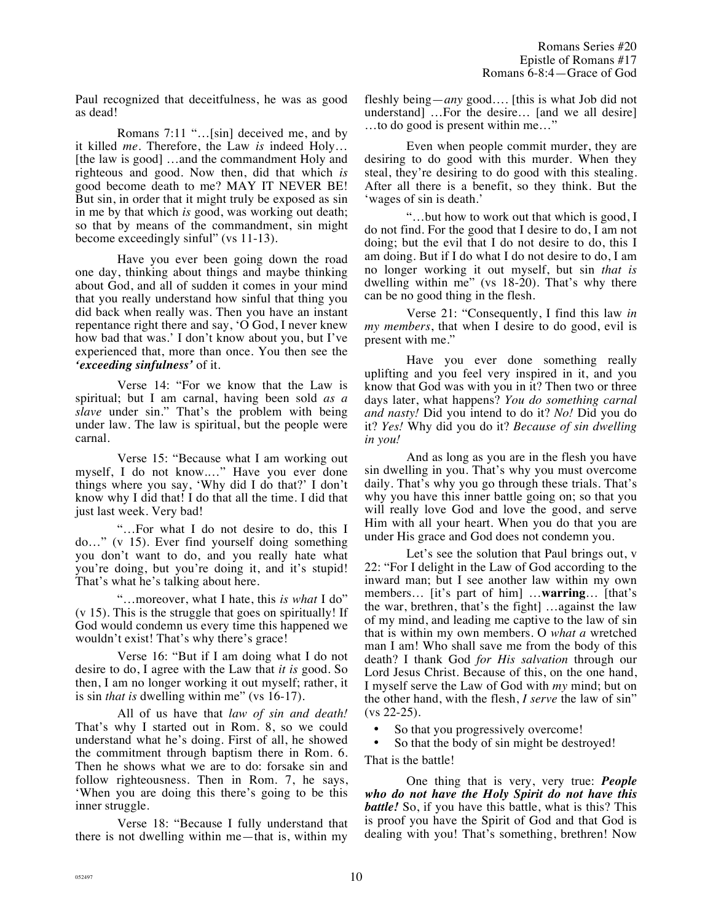Paul recognized that deceitfulness, he was as good as dead!

Romans 7:11 "…[sin] deceived me, and by it killed *me*. Therefore, the Law *is* indeed Holy… [the law is good] …and the commandment Holy and righteous and good. Now then, did that which *is* good become death to me? MAY IT NEVER BE! But sin, in order that it might truly be exposed as sin in me by that which *is* good, was working out death; so that by means of the commandment, sin might become exceedingly sinful" (vs 11-13).

Have you ever been going down the road one day, thinking about things and maybe thinking about God, and all of sudden it comes in your mind that you really understand how sinful that thing you did back when really was. Then you have an instant repentance right there and say, 'O God, I never knew how bad that was.' I don't know about you, but I've experienced that, more than once. You then see the *'exceeding sinfulness'* of it.

Verse 14: "For we know that the Law is spiritual; but I am carnal, having been sold *as a slave* under sin." That's the problem with being under law. The law is spiritual, but the people were carnal.

Verse 15: "Because what I am working out myself, I do not know.…" Have you ever done things where you say, 'Why did I do that?' I don't know why I did that! I do that all the time. I did that just last week. Very bad!

"…For what I do not desire to do, this I do…" (v 15). Ever find yourself doing something you don't want to do, and you really hate what you're doing, but you're doing it, and it's stupid! That's what he's talking about here.

"…moreover, what I hate, this *is what* I do" (v 15). This is the struggle that goes on spiritually! If God would condemn us every time this happened we wouldn't exist! That's why there's grace!

Verse 16: "But if I am doing what I do not desire to do, I agree with the Law that *it is* good. So then, I am no longer working it out myself; rather, it is sin *that is* dwelling within me" (vs 16-17).

All of us have that *law of sin and death!* That's why I started out in Rom. 8, so we could understand what he's doing. First of all, he showed the commitment through baptism there in Rom. 6. Then he shows what we are to do: forsake sin and follow righteousness. Then in Rom. 7, he says, 'When you are doing this there's going to be this inner struggle.

Verse 18: "Because I fully understand that there is not dwelling within me—that is, within my fleshly being—*any* good…. [this is what Job did not understand] …For the desire… [and we all desire] …to do good is present within me…"

Even when people commit murder, they are desiring to do good with this murder. When they steal, they're desiring to do good with this stealing. After all there is a benefit, so they think. But the 'wages of sin is death.'

"…but how to work out that which is good, I do not find. For the good that I desire to do, I am not doing; but the evil that I do not desire to do, this I am doing. But if I do what I do not desire to do, I am no longer working it out myself, but sin *that is* dwelling within me" (vs 18-20). That's why there can be no good thing in the flesh.

Verse 21: "Consequently, I find this law *in my members*, that when I desire to do good, evil is present with me."

Have you ever done something really uplifting and you feel very inspired in it, and you know that God was with you in it? Then two or three days later, what happens? *You do something carnal and nasty!* Did you intend to do it? *No!* Did you do it? *Yes!* Why did you do it? *Because of sin dwelling in you!*

And as long as you are in the flesh you have sin dwelling in you. That's why you must overcome daily. That's why you go through these trials. That's why you have this inner battle going on; so that you will really love God and love the good, and serve Him with all your heart. When you do that you are under His grace and God does not condemn you.

Let's see the solution that Paul brings out, v 22: "For I delight in the Law of God according to the inward man; but I see another law within my own members… [it's part of him] …**warring**… [that's the war, brethren, that's the fight] …against the law of my mind, and leading me captive to the law of sin that is within my own members. O *what a* wretched man I am! Who shall save me from the body of this death? I thank God *for His salvation* through our Lord Jesus Christ. Because of this, on the one hand, I myself serve the Law of God with *my* mind; but on the other hand, with the flesh, *I serve* the law of sin" (vs 22-25).

- So that you progressively overcome!
- So that the body of sin might be destroyed!

That is the battle!

One thing that is very, very true: *People who do not have the Holy Spirit do not have this battle!* So, if you have this battle, what is this? This is proof you have the Spirit of God and that God is dealing with you! That's something, brethren! Now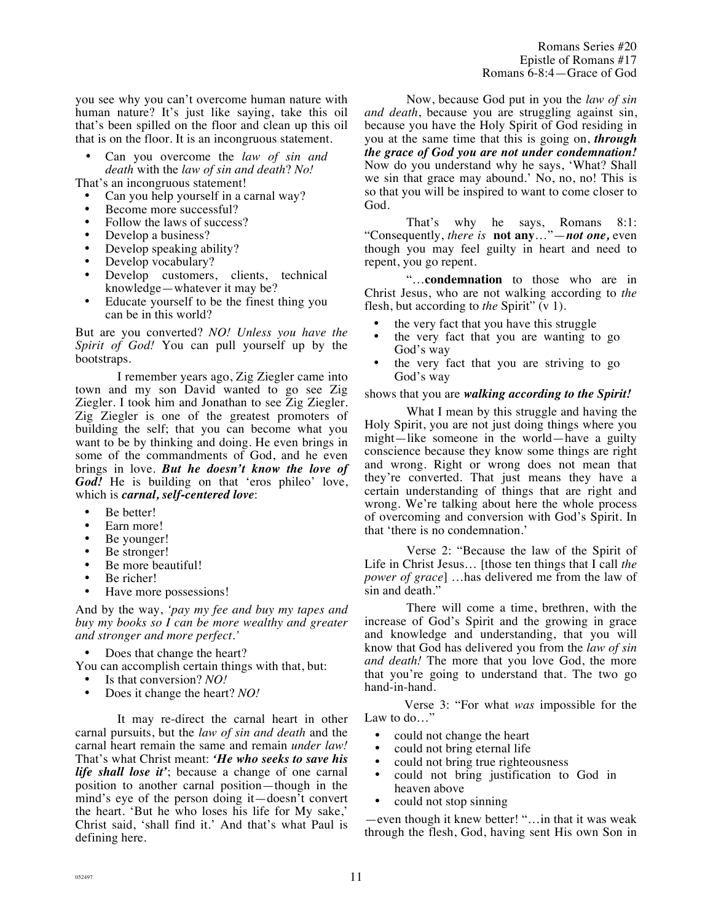you see why you can't overcome human nature with human nature? It's just like saying, take this oil that's been spilled on the floor and clean up this oil that is on the floor. It is an incongruous statement.

• Can you overcome the *law of sin and death* with the *law of sin and death*? *No!*

That's an incongruous statement!

- Can you help yourself in a carnal way?
- Become more successful?
- Follow the laws of success?
- Develop a business?
- Develop speaking ability?
- Develop vocabulary?
- Develop customers, clients, technical knowledge—whatever it may be?
- Educate yourself to be the finest thing you can be in this world?

But are you converted? *NO! Unless you have the Spirit of God!* You can pull yourself up by the bootstraps.

I remember years ago, Zig Ziegler came into town and my son David wanted to go see Zig Ziegler. I took him and Jonathan to see Zig Ziegler. Zig Ziegler is one of the greatest promoters of building the self; that you can become what you want to be by thinking and doing. He even brings in some of the commandments of God, and he even brings in love. *But he doesn't know the love of God!* He is building on that 'eros phileo' love, which is *carnal, self-centered love*:

- Be better!
- Earn more!
- Be younger!
- Be stronger!
- Be more beautiful!
- Be richer!
- Have more possessions!

And by the way, *'pay my fee and buy my tapes and buy my books so I can be more wealthy and greater and stronger and more perfect.'*

- Does that change the heart?
- You can accomplish certain things with that, but:
- 
- Is that conversion? *NO!*<br>• Does it change the heart • Does it change the heart? *NO!*

It may re-direct the carnal heart in other carnal pursuits, but the *law of sin and death* and the carnal heart remain the same and remain *under law!* That's what Christ meant: *'He who seeks to save his life shall lose it'*; because a change of one carnal position to another carnal position—though in the mind's eye of the person doing it—doesn't convert the heart. 'But he who loses his life for My sake,' Christ said, 'shall find it.' And that's what Paul is defining here.

Now, because God put in you the *law of sin and death*, because you are struggling against sin, because you have the Holy Spirit of God residing in you at the same time that this is going on, *through the grace of God you are not under condemnation!* Now do you understand why he says, 'What? Shall we sin that grace may abound.' No, no, no! This is so that you will be inspired to want to come closer to God.

That's why he says, Romans 8:1: "Consequently, *there is* **not any**…"—*not one,* even though you may feel guilty in heart and need to repent, you go repent.

"…**condemnation** to those who are in Christ Jesus, who are not walking according to *the* flesh, but according to *the* Spirit" (v 1).

- the very fact that you have this struggle
- the very fact that you are wanting to go God's way
- the very fact that you are striving to go God's way

#### shows that you are *walking according to the Spirit!*

What I mean by this struggle and having the Holy Spirit, you are not just doing things where you might—like someone in the world—have a guilty conscience because they know some things are right and wrong. Right or wrong does not mean that they're converted. That just means they have a certain understanding of things that are right and wrong. We're talking about here the whole process of overcoming and conversion with God's Spirit. In that 'there is no condemnation.'

Verse 2: "Because the law of the Spirit of Life in Christ Jesus… [those ten things that I call *the power of grace*] …has delivered me from the law of sin and death."

There will come a time, brethren, with the increase of God's Spirit and the growing in grace and knowledge and understanding, that you will know that God has delivered you from the *law of sin and death!* The more that you love God, the more that you're going to understand that. The two go hand-in-hand.

Verse 3: "For what *was* impossible for the Law to do…"

- could not change the heart
- could not bring eternal life
- could not bring true righteousness<br>• could not bring justification to
- could not bring justification to God in heaven above
- could not stop sinning

—even though it knew better! "…in that it was weak through the flesh, God, having sent His own Son in